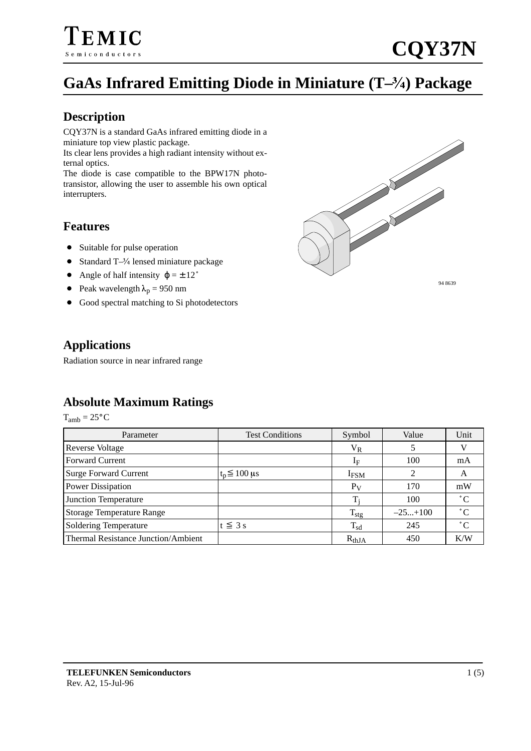### **GaAs Infrared Emitting Diode in Miniature (T–) Package**

#### **Description**

CQY37N is a standard GaAs infrared emitting diode in a miniature top view plastic package.

Its clear lens provides a high radiant intensity without external optics.

The diode is case compatible to the BPW17N phototransistor, allowing the user to assemble his own optical interrupters.

#### **Features**

- Suitable for pulse operation
- $\bullet$ ● Standard T-3/4 lensed miniature package
- $\bullet$ Angle of half intensity  $\varphi = \pm 12^{\circ}$
- Peak wavelength  $\lambda_p = 950$  nm
- $\bullet$ Good spectral matching to Si photodetectors



94 8639

#### **Applications**

Radiation source in near infrared range

#### **Absolute Maximum Ratings**

 $T_{amb} = 25^{\circ}C$ 

| Parameter                                  | <b>Test Conditions</b> | Symbol           | Value     | Unit        |
|--------------------------------------------|------------------------|------------------|-----------|-------------|
| <b>Reverse Voltage</b>                     |                        | $\rm V_R$        |           |             |
| <b>Forward Current</b>                     |                        | 1 <sub>F</sub>   | 100       | mA          |
| Surge Forward Current                      | $t_n \leq 100$ µs      | I <sub>FSM</sub> | 2         | A           |
| <b>Power Dissipation</b>                   |                        | $P_V$            | 170       | mW          |
| Junction Temperature                       |                        |                  | 100       | $^{\circ}C$ |
| Storage Temperature Range                  |                        | $T_{\text{stg}}$ | $-25+100$ | $^{\circ}C$ |
| Soldering Temperature                      | $t \leq 3$ s           | $T_{sd}$         | 245       | $^{\circ}C$ |
| <b>Thermal Resistance Junction/Ambient</b> |                        | $R_{thJA}$       | 450       | K/W         |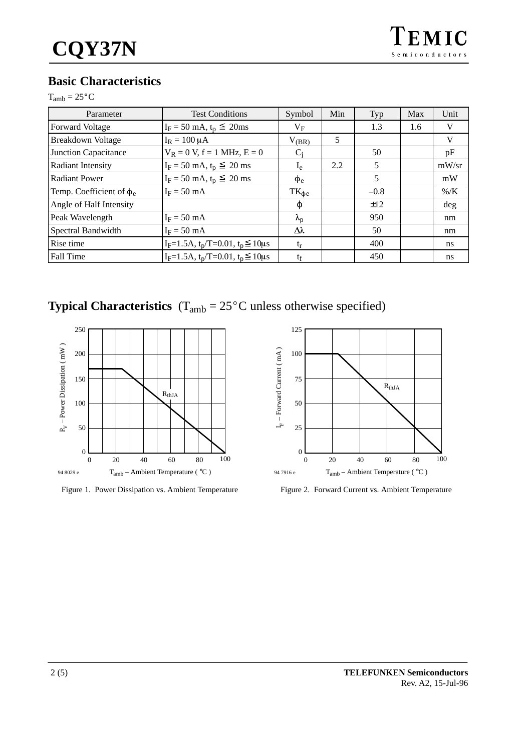# **Basic Characteristics**<br>T<sub>amb</sub> = 25°C

| amn |  |  |
|-----|--|--|
|-----|--|--|

| Parameter                     | <b>Test Conditions</b>                             | Symbol            | Min | Typ    | Max | Unit    |
|-------------------------------|----------------------------------------------------|-------------------|-----|--------|-----|---------|
| Forward Voltage               | $I_F = 50 \text{ mA}, t_p \leq 20 \text{ ms}$      | $V_{\rm F}$       |     | 1.3    | 1.6 | V       |
| <b>Breakdown Voltage</b>      | $I_R = 100 \mu A$                                  | $V_{(BR)}$        | 5   |        |     | V       |
| <b>Junction Capacitance</b>   | $V_R = 0 V$ , f = 1 MHz, E = 0                     | $C_i$             |     | 50     |     | pF      |
| <b>Radiant Intensity</b>      | $I_F = 50$ mA, $t_p \le 20$ ms                     | $I_{e}$           | 2.2 | 5      |     | mW/sr   |
| <b>Radiant Power</b>          | $I_F = 50$ mA, $t_p \le 20$ ms                     | $\Phi$ e          |     | 5      |     | mW      |
| Temp. Coefficient of $\phi_e$ | $I_F = 50$ mA                                      | $TK_{\Phi e}$     |     | $-0.8$ |     | $\%$ /K |
| Angle of Half Intensity       |                                                    | φ                 |     | ±12    |     | deg     |
| Peak Wavelength               | $I_F = 50$ mA                                      | $\lambda_{\rm p}$ |     | 950    |     | nm      |
| Spectral Bandwidth            | $I_F = 50$ mA                                      | Δλ                |     | 50     |     | nm      |
| Rise time                     | $I_F = 1.5A$ , $t_p/T = 0.01$ , $t_p \le 10 \mu s$ | $t_{r}$           |     | 400    |     | ns      |
| Fall Time                     | $I_F = 1.5A$ , $t_p/T = 0.01$ , $t_p \le 10 \mu s$ | tf                |     | 450    |     | ns      |

**Typical Characteristics**  $(T_{amb} = 25^{\circ}C$  unless otherwise specified)



Figure 1. Power Dissipation vs. Ambient Temperature



Figure 2. Forward Current vs. Ambient Temperature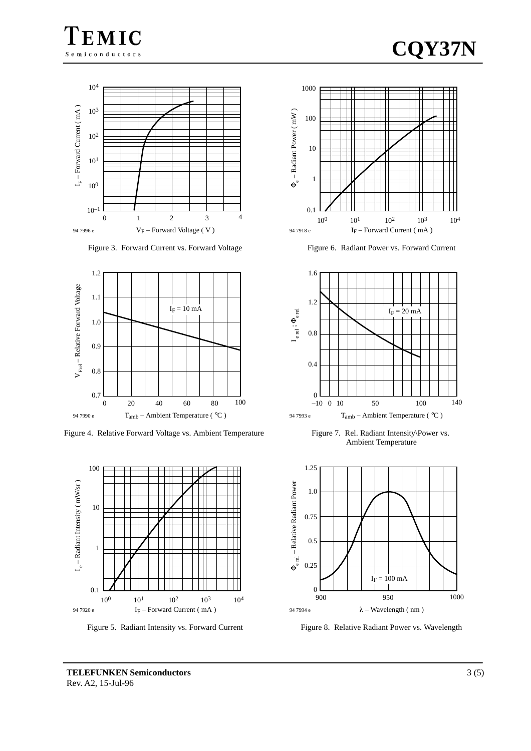





Figure 3. Forward Current vs. Forward Voltage



Figure 4. Relative Forward Voltage vs. Ambient Temperature



Figure 5. Radiant Intensity vs. Forward Current



Figure 6. Radiant Power vs. Forward Current



Figure 7. Rel. Radiant Intensity\Power vs. Ambient Temperature



Figure 8. Relative Radiant Power vs. Wavelength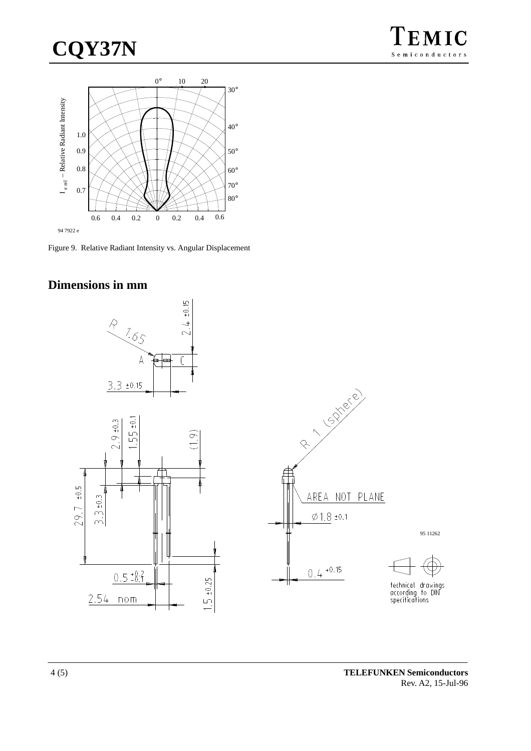## CQY37N



Figure 9. Relative Radiant Intensity vs. Angular Displacement

#### Dimensions in mm